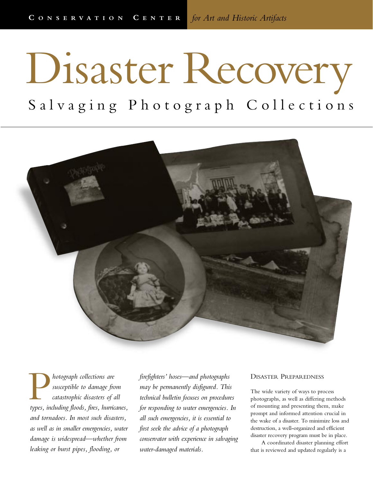# Disaster Recovery

Salvaging Photograph Collections



*hotograph collections are susceptible to damage from catastrophic disasters of all* **b** *types, including floods, fires, hurricanes,*<br> *types, including floods, fires, hurricanes, and tornadoes. In most such disasters, as well as in smaller emergencies, water damage is widespread—whether from leaking or burst pipes, flooding, or*

*firefighters' hoses—and photographs may be permanently disfigured. This technical bulletin focuses on procedures for responding to water emergencies. In all such emergencies, it is essential to first seek the advice of a photograph conservator with experience in salvaging water-damaged materials.*

# DISASTER PREPAREDNESS

The wide variety of ways to process photographs, as well as differing methods of mounting and presenting them, make prompt and informed attention crucial in the wake of a disaster. To minimize loss and destruction, a well-organized and efficient disaster recovery program must be in place.

A coordinated disaster planning effort that is reviewed and updated regularly is a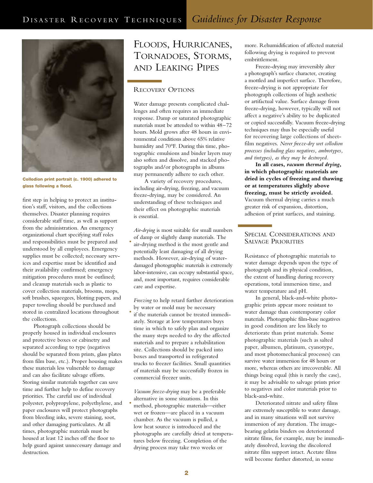

**Collodion print portrait (c. 1900) adhered to glass following a flood.**

first step in helping to protect an institution's staff, visitors, and the collections themselves. Disaster planning requires considerable staff time, as well as support from the administration. An emergency organizational chart specifying staff roles and responsibilities must be prepared and understood by all employees. Emergency supplies must be collected; necessary services and expertise must be identified and their availability confirmed; emergency mitigation procedures must be outlined; and cleanup materials such as plastic to cover collection materials, brooms, mops, soft brushes, squeegees, blotting papers, and paper toweling should be purchased and stored in centralized locations throughout the collections.

Photograph collections should be properly housed in individual enclosures and protective boxes or cabinetry and separated according to type (negatives should be separated from prints, glass plates from film base, etc.). Proper housing makes these materials less vulnerable to damage and can also facilitate salvage efforts. Storing similar materials together can save time and further help to define recovery priorities. The careful use of individual polyester, polypropylene, polyethylene, and paper enclosures will protect photographs from bleeding inks, severe staining, soot, and other damaging particulates. At all times, photographic materials must be housed at least 12 inches off the floor to help guard against unnecessary damage and destruction.

# FLOODS, HURRICANES, TORNADOES, STORMS, AND LEAKING PIPES

# RECOVERY OPTIONS

Water damage presents complicated challenges and often requires an immediate response. Damp or saturated photographic materials must be attended to within 48–72 hours. Mold grows after 48 hours in environmental conditions above 65% relative humidity and 70°F. During this time, photographic emulsions and binder layers may also soften and dissolve, and stacked photographs and/or photographs in albums may permanently adhere to each other.

A variety of recovery procedures, including air-drying, freezing, and vacuum freeze-drying, may be considered. An understanding of these techniques and their effect on photographic materials is essential.

*Air-drying* is most suitable for small numbers

of damp or slightly damp materials. The air-drying method is the most gentle and potentially least damaging of all drying methods. However, air-drying of waterdamaged photographic materials is extremely labor-intensive, can occupy substantial space, and, most important, requires considerable care and expertise. •

*Freezing* to help retard further deterioration by water or mold may be necessary

if the materials cannot be treated immediately. Storage at low temperatures buys time in which to safely plan and organize the many steps needed to dry the affected materials and to prepare a rehabilitation site. Collections should be packed into boxes and transported in refrigerated trucks to freezer facilities. Small quantities of materials may be successfully frozen in commercial freezer units. •

*Vacuum freeze-drying* may be a preferable alternative in some situations. In this method, photographic materials—either wet or frozen—are placed in a vacuum chamber. As the vacuum is pulled, a low heat source is introduced and the photographs are carefully dried at temperatures below freezing. Completion of the drying process may take two weeks or

•

more. Rehumidification of affected material following drying is required to prevent embrittlement.

Freeze-drying may irreversibly alter a photograph's surface character, creating a mottled and imperfect surface. Therefore, freeze-drying is not appropriate for photograph collections of high aesthetic or artifactual value. Surface damage from freeze-drying, however, typically will not affect a negative's ability to be duplicated or copied successfully. Vacuum freeze-drying techniques may thus be especially useful for recovering large collections of sheetfilm negatives. *Never freeze-dry wet collodion processes (including glass negatives, ambrotypes, and tintypes), as they may be destroyed.* 

**In all cases,** *vacuum thermal drying***, in which photographic materials are dried in cycles of freezing and thawing or at temperatures slightly above freezing, must be strictly avoided.** Vacuum thermal drying carries a much greater risk of expansion, distortion, adhesion of print surfaces, and staining.

## SPECIAL CONSIDERATIONS AND SALVAGE PRIORITIES

Resistance of photographic materials to water damage depends upon the type of photograph and its physical condition, the extent of handling during recovery operations, total immersion time, and water temperature and pH.

In general, black-and-white photographic prints appear more resistant to water damage than contemporary color materials. Photographic film-base negatives in good condition are less likely to deteriorate than print materials. Some photographic materials (such as salted paper, albumen, platinum, cyanotype, and most photomechanical processes) can survive water immersion for 48 hours or more, whereas others are irrecoverable. All things being equal (this is rarely the case), it may be advisable to salvage prints prior to negatives and color materials prior to black-and-white.

Deteriorated nitrate and safety films are extremely susceptible to water damage, and in many situations will not survive immersion of any duration. The imagebearing gelatin binders on deteriorated nitrate films, for example, may be immediately dissolved, leaving the discolored nitrate film support intact. Acetate films will become further distorted, in some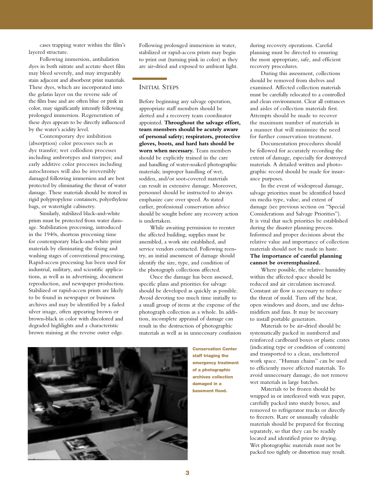cases trapping water within the film's layered structure.

Following immersion, antihalation dyes in both nitrate and acetate sheet film may bleed severely, and may irreparably stain adjacent and absorbent print materials. These dyes, which are incorporated into the gelatin layer on the reverse side of the film base and are often blue or pink in color, may significantly intensify following prolonged immersion. Regeneration of these dyes appears to be directly influenced by the water's acidity level.

Contemporary dye imbibition (absorption) color processes such as dye transfer; wet collodion processes including ambrotypes and tintypes; and early additive color processes including autochromes will also be irreversibly damaged following immersion and are best protected by eliminating the threat of water damage. These materials should be stored in rigid polypropylene containers, polyethylene bags, or watertight cabinetry.

Similarly, stabilized black-and-white prints must be protected from water damage. Stabilization processing, introduced in the 1940s, shortens processing time for contemporary black-and-white print materials by eliminating the fixing and washing stages of conventional processing. Rapid-access processing has been used for industrial, military, and scientific applications, as well as in advertising, document reproduction, and newspaper production. Stabilized or rapid-access prints are likely to be found in newspaper or business archives and may be identified by a faded silver image, often appearing brown or brown-black in color with discolored and degraded highlights and a characteristic brown staining at the reverse outer edge.

Following prolonged immersion in water, stabilized or rapid-access prints may begin to print out (turning pink in color) as they are air-dried and exposed to ambient light.

# INITIAL STEPS

Before beginning any salvage operation, appropriate staff members should be alerted and a recovery team coordinator appointed. **Throughout the salvage effort, team members should be acutely aware of personal safety; respirators, protective gloves, boots, and hard hats should be worn when necessary.** Team members should be explicitly trained in the care and handling of water-soaked photographic materials; improper handling of wet, sodden, and/or soot-covered materials can result in extensive damage. Moreover, personnel should be instructed to always emphasize care over speed. As stated earlier, professional conservation advice should be sought before any recovery action is undertaken.

While awaiting permission to reenter the affected building, supplies must be assembled, a work site established, and service vendors contacted. Following reentry, an initial assessment of damage should identify the size, type, and condition of the photograph collections affected.

Once the damage has been assessed, specific plans and priorities for salvage should be developed as quickly as possible. Avoid devoting too much time initially to a small group of items at the expense of the photograph collection as a whole. In addition, incomplete appraisal of damage can result in the destruction of photographic materials as well as in unnecessary confusion



**Conservation Center staff triaging the emergency treatment of a photographic archives collection damaged in a basement flood.**

during recovery operations. Careful planning must be directed to ensuring the most appropriate, safe, and efficient recovery procedures.

During this assessment, collections should be removed from shelves and examined. Affected collection materials must be carefully relocated to a controlled and clean environment. Clear all entrances and aisles of collection materials first. Attempts should be made to recover the maximum number of materials in a manner that will minimize the need for further conservation treatment.

Documentation procedures should be followed for accurately recording the extent of damage, especially for destroyed materials. A detailed written and photographic record should be made for insurance purposes.

In the event of widespread damage, salvage priorities must be identified based on media type, value, and extent of damage (see previous section on "Special Considerations and Salvage Priorities"). It is vital that such priorities be established during the disaster planning process. Informed and proper decisions about the relative value and importance of collection materials should not be made in haste. **The importance of careful planning**

# **cannot be overemphasized.**

Where possible, the relative humidity within the affected space should be reduced and air circulation increased. Constant air flow is necessary to reduce the threat of mold. Turn off the heat, open windows and doors, and use dehumidifiers and fans. It may be necessary to install portable generators.

Materials to be air-dried should be systematically packed in numbered and reinforced cardboard boxes or plastic crates (indicating type or condition of contents) and transported to a clean, uncluttered work space. "Human chains" can be used to efficiently move affected materials. To avoid unnecessary damage, do not remove wet materials in large batches.

Materials to be frozen should be wrapped in or interleaved with wax paper, carefully packed into sturdy boxes, and removed to refrigerator trucks or directly to freezers. Rare or unusually valuable materials should be prepared for freezing separately, so that they can be readily located and identified prior to drying. Wet photographic materials must not be packed too tightly or distortion may result.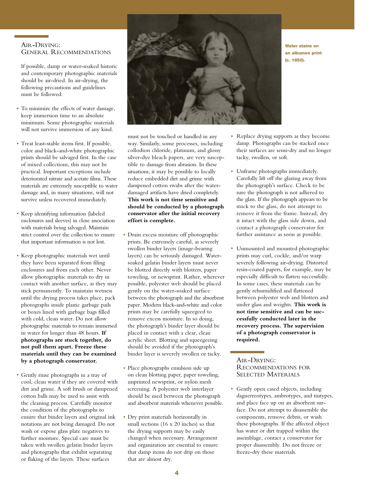## AIR-DRYING: GENERAL RECOMMENDATIONS

If possible, damp or water-soaked historic and contemporary photographic materials should be air-dried. In air-drying, the following precautions and guidelines must be followed:

- To minimize the effects of water damage, keep immersion time to an absolute minimum. Some photographic materials will not survive immersion of any kind.
- Treat least-stable items first. If possible, color and black-and-white photographic prints should be salvaged first. In the case of mixed collections, this may not be practical. Important exceptions include deteriorated nitrate and acetate films. These materials are extremely susceptible to water damage and, in many situations, will not survive unless recovered immediately.
- Keep identifying information (labeled enclosures and sleeves) in close association with materials being salvaged. Maintain strict control over the collection to ensure that important information is not lost.
- Keep photographic materials wet until they have been separated from filing enclosures and from each other. Never allow photographic materials to dry in contact with another surface, as they may stick permanently. To maintain wetness until the drying process takes place, pack photographs inside plastic garbage pails or boxes lined with garbage bags filled with cold, clean water. Do not allow photographic materials to remain immersed in water for longer than 48 hours. **If photographs are stuck together, do not pull them apart. Freeze these materials until they can be examined by a photograph conservator.**
- Gently rinse photographs in a tray of cool, clean water if they are covered with dirt and grime. A soft brush or dampened cotton balls may be used to assist with the cleaning process. Carefully monitor the condition of the photographs to ensure that binder layers and original ink notations are not being damaged. Do not wash or expose glass plate negatives to further moisture. Special care must be taken with swollen gelatin binder layers and photographs that exhibit separating or flaking of the layers. These surfaces



**Water stains on an albumen print (c. 1850).**

- must not be touched or handled in any way. Similarly, some processes, including collodion chloride, platinum, and glossy silver-dye bleach papers, are very susceptible to damage from abrasion. In these situations, it may be possible to locally reduce embedded dirt and grime with dampened cotton swabs after the waterdamaged artifacts have dried completely. **This work is not time sensitive and should be conducted by a photograph conservator after the initial recovery effort is complete.**
- Drain excess moisture off photographic prints. Be extremely careful, as severely swollen binder layers (image-bearing layers) can be seriously damaged. Watersoaked gelatin binder layers must never be blotted directly with blotters, paper toweling, or newsprint. Rather, wherever possible, polyester web should be placed gently on the water-soaked surface between the photograph and the absorbent paper. Modern black-and-white and color prints may be carefully squeegeed to remove excess moisture. In so doing, the photograph's binder layer should be placed in contact with a clear, clean acrylic sheet. Blotting and squeegeeing should be avoided if the photograph's binder layer is severely swollen or tacky.
- Place photographs emulsion side up on clean blotting paper, paper toweling, unprinted newsprint, or nylon mesh screening. A polyester web interlayer should be used between the photograph and absorbent materials whenever possible.
- Dry print materials horizontally in small sections (16 x 20 inches) so that the drying supports may be easily changed when necessary. Arrangement and organization are essential to ensure that damp items do not drip on those that are almost dry.
- Replace drying supports as they become damp. Photographs can be stacked once their surfaces are semi-dry and no longer tacky, swollen, or soft.
- Unframe photographs immediately. Carefully lift off the glazing away from the photograph's surface. Check to be sure the photograph is not adhered to the glass. If the photograph appears to be stuck to the glass, do not attempt to remove it from the frame. Instead, dry it intact with the glass side down, and contact a photograph conservator for further assistance as soon as possible.
- Unmounted and mounted photographic prints may curl, cockle, and/or warp severely following air-drying. Distorted resin-coated papers, for example, may be especially difficult to flatten successfully. In some cases, these materials can be gently rehumidified and flattened between polyester web and blotters and under glass and weights. **This work is not time sensitive and can be successfully conducted later in the recovery process. The supervision of a photograph conservator is required.**

AIR-DRYING: RECOMMENDATIONS FOR SELECTED MATERIALS

Gently open cased objects, including daguerreotypes, ambrotypes, and tintypes, and place face up on an absorbent surface. Do not attempt to disassemble the components, remove debris, or wash these photographs. If the affected object has water or dirt trapped within the assemblage, contact a conservator for proper disassembly. Do not freeze or freeze-dry these materials. •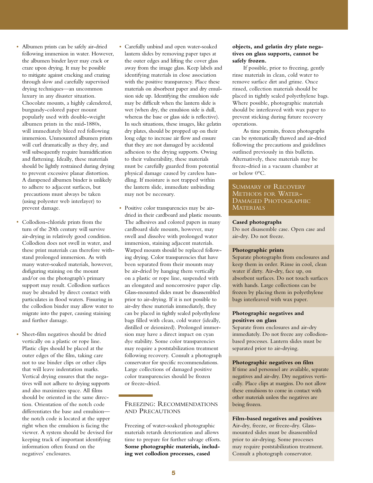- Albumen prints can be safely air-dried following immersion in water. However, the albumen binder layer may crack or craze upon drying. It may be possible to mitigate against cracking and crazing through slow and carefully supervised drying techniques—an uncommon luxury in any disaster situation. Chocolate mounts, a highly calendered, burgundy-colored paper mount popularly used with double-weight albumen prints in the mid-1880s, will immediately bleed red following immersion. Unmounted albumen prints will curl dramatically as they dry, and will subsequently require humidification and flattening. Ideally, these materials should be lightly restrained during drying to prevent excessive planar distortion. A dampened albumen binder is unlikely to adhere to adjacent surfaces, but precautions must always be taken (using polyester web interlayer) to prevent damage.
- Collodion-chloride prints from the turn of the 20th century will survive air-drying in relatively good condition. Collodion does not swell in water, and these print materials can therefore withstand prolonged immersion. As with many water-soaked materials, however, disfiguring staining on the mount and/or on the photograph's primary support may result. Collodion surfaces may be abraded by direct contact with particulates in flood waters. Fissuring in the collodion binder may allow water to migrate into the paper, causing staining and further damage.
- Sheet-film negatives should be dried vertically on a plastic or rope line. Plastic clips should be placed at the outer edges of the film, taking care not to use binder clips or other clips that will leave indentation marks. Vertical drying ensures that the negatives will not adhere to drying supports and also maximizes space. All films should be oriented in the same direction. Orientation of the notch code differentiates the base and emulsion the notch code is located at the upper right when the emulsion is facing the viewer. A system should be devised for keeping track of important identifying information often found on the negatives' enclosures. •
- Carefully unbind and open water-soaked lantern slides by removing paper tapes at the outer edges and lifting the cover glass away from the image glass. Keep labels and identifying materials in close association with the positive transparency. Place these materials on absorbent paper and dry emulsion side up. Identifying the emulsion side may be difficult when the lantern slide is wet (when dry, the emulsion side is dull, whereas the base or glass side is reflective). In such situations, these images, like gelatin dry plates, should be propped up on their long edge to increase air flow and ensure that they are not damaged by accidental adhesion to the drying supports. Owing to their vulnerability, these materials must be carefully guarded from potential physical damage caused by careless handling. If moisture is not trapped within the lantern slide, immediate unbinding may not be necessary.
- Positive color transparencies may be airdried in their cardboard and plastic mounts. The adhesives and colored papers in many cardboard slide mounts, however, may swell and dissolve with prolonged water immersion, staining adjacent materials. Warped mounts should be replaced following drying. Color transparencies that have been separated from their mounts may be air-dried by hanging them vertically on a plastic or rope line, suspended with an elongated and noncorrosive paper clip. Glass-mounted slides must be disassembled prior to air-drying. If it is not possible to air-dry these materials immediately, they can be placed in tightly sealed polyethylene bags filled with clean, cold water (ideally, distilled or deionized). Prolonged immersion may have a direct impact on cyan dye stability. Some color transparencies may require a poststabilization treatment following recovery. Consult a photograph conservator for specific recommendations. Large collections of damaged positive color transparencies should be frozen or freeze-dried.

### FREEZING: RECOMMENDATIONS AND PRECAUTIONS

Freezing of water-soaked photographic materials retards deterioration and allows time to prepare for further salvage efforts. **Some photographic materials, including wet collodion processes, cased**

## **objects, and gelatin dry plate negatives on glass supports, cannot be safely frozen.**

If possible, prior to freezing, gently rinse materials in clean, cold water to remove surface dirt and grime. Once rinsed, collection materials should be placed in tightly sealed polyethylene bags. Where possible, photographic materials should be interleaved with wax paper to prevent sticking during future recovery operations.

As time permits, frozen photographs can be systematically thawed and air-dried following the precautions and guidelines outlined previously in this bulletin. Alternatively, these materials may be freeze-dried in a vacuum chamber at or below 0°C.

# SUMMARY OF RECOVERY<br>METHODS FOR WATER-DAMAGED PHOTOGRAPHIC **MATERIALS**

#### **Cased photographs**

Do not disassemble case. Open case and air-dry. Do not freeze.

#### **Photographic prints**

Separate photographs from enclosures and keep them in order. Rinse in cool, clean water if dirty. Air-dry, face up, on absorbent surfaces. Do not touch surfaces with hands. Large collections can be frozen by placing them in polyethylene bags interleaved with wax paper.

#### **Photographic negatives and positives on glass**

Separate from enclosures and air-dry immediately. Do not freeze any collodionbased processes. Lantern slides must be separated prior to air-drying.

#### **Photographic negatives on film**

If time and personnel are available, separate negatives and air-dry. Dry negatives vertically. Place clips at margins. Do not allow these emulsions to come in contact with other materials unless the negatives are being frozen.

#### **Film-based negatives and positives**

Air-dry, freeze, or freeze-dry. Glassmounted slides must be disassembled prior to air-drying. Some processes may require poststabilization treatment. Consult a photograph conservator.